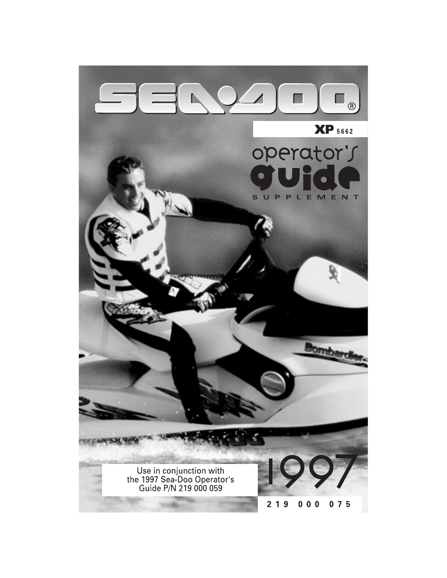# П

#### **XP** 5662

#### operator's  $\sqrt{\bullet}$ S  $\cup$ PPLEMENT

Use in conjunction with<br>the 1997 Sea-Doo Operator's<br>Guide P/N 219 000 059



**Bornb** 

 $219$  $000$  $075$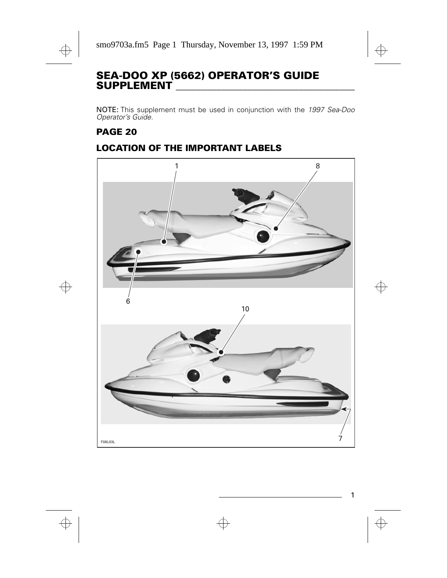#### **SEA-DOO XP (5662) OPERATOR'S GUIDE SUPPLEMENT \_\_\_\_\_\_\_\_\_\_\_\_\_\_\_\_\_\_\_\_\_\_\_\_\_\_\_\_\_\_\_\_\_\_\_**

NOTE: This supplement must be used in conjunction with the 1997 Sea-Doo Operator's Guide.

#### **PAGE 20**

#### **LOCATION OF THE IMPORTANT LABELS**

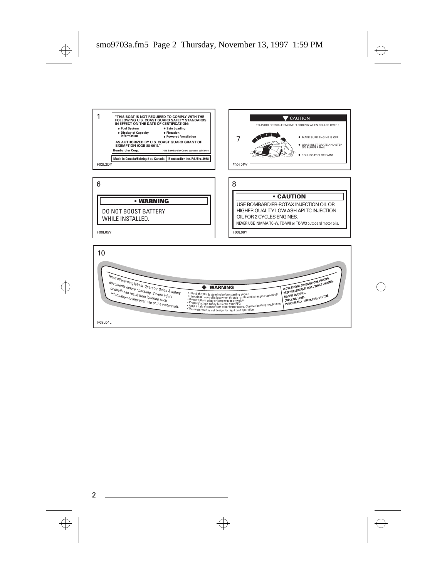





F00L05Y

USE BOMBARDIER-ROTAX INJECTION OIL OR HIGHER QUALITY LOW ASH API TC INJECTION OIL FOR 2 CYCLES ENGINES. **• CAUTION** NEVER USE NMMA TC-W, TC-WII or TC-W3 outboard motor oils. F00L06Y

GRAB INLET GRATE AND STEP ON BUMPER RAIL

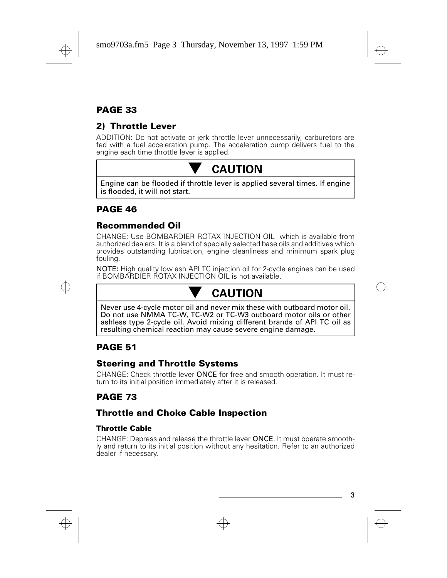### **PAGE 33**

#### **2) Throttle Lever**

ADDITION: Do not activate or jerk throttle lever unnecessarily, carburetors are fed with a fuel acceleration pump. The acceleration pump delivers fuel to the engine each time throttle lever is applied.



**CAUTION**<br>Engine can be flooded if throttle lever is applied several times. If engine is flooded, it will not start.

#### **PAGE 46**

#### **Recommended Oil**

CHANGE: Use BOMBARDIER ROTAX INJECTION OIL which is available from authorized dealers. It is a blend of specially selected base oils and additives which provides outstanding lubrication, engine cleanliness and minimum spark plug fouling.

NOTE: High quality low ash API TC injection oil for 2-cycle engines can be used if BOMBARDIER ROTAX INJECTION OIL is not available.

**CAUTION**<br>Never use 4-cycle motor oil and never mix these with outboard motor oil. Do not use NMMA TC-W, TC-W2 or TC-W3 outboard motor oils or other ashless type 2-cycle oil. Avoid mixing different brands of API TC oil as resulting chemical reaction may cause severe engine damage.

#### **PAGE 51**

#### **Steering and Throttle Systems**

CHANGE: Check throttle lever ONCE for free and smooth operation. It must return to its initial position immediately after it is released.

#### **PAGE 73**

#### **Throttle and Choke Cable Inspection**

#### **Throttle Cable**

CHANGE: Depress and release the throttle lever ONCE. It must operate smoothly and return to its initial position without any hesitation. Refer to an authorized dealer if necessary.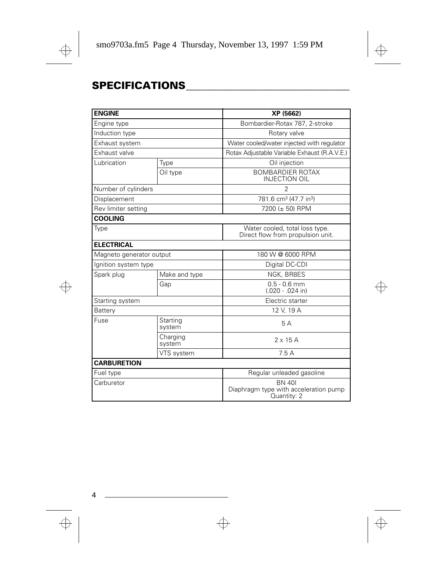## **SPECIFICATIONS\_\_\_\_\_\_\_\_\_\_\_\_\_\_\_\_\_\_\_\_\_\_\_\_\_\_\_\_\_\_\_\_**

| <b>ENGINE</b>            |                    | XP (5662)                                                             |  |
|--------------------------|--------------------|-----------------------------------------------------------------------|--|
| Engine type              |                    | Bombardier-Rotax 787, 2-stroke                                        |  |
| Induction type           |                    | Rotary valve                                                          |  |
| Exhaust system           |                    | Water cooled/water injected with regulator                            |  |
| Exhaust valve            |                    | Rotax Adjustable Variable Exhaust (R.A.V.E.)                          |  |
| Lubrication              | Type               | Oil injection                                                         |  |
|                          | Oil type           | <b>BOMBARDIER ROTAX</b><br><b>INJECTION OIL</b>                       |  |
| Number of cylinders      |                    | $\overline{2}$                                                        |  |
| Displacement             |                    | 781.6 cm <sup>3</sup> (47.7 in <sup>3</sup> )                         |  |
| Rev limiter setting      |                    | 7200 (± 50) RPM                                                       |  |
| <b>COOLING</b>           |                    |                                                                       |  |
| Type                     |                    | Water cooled, total loss type.<br>Direct flow from propulsion unit.   |  |
| <b>ELECTRICAL</b>        |                    |                                                                       |  |
| Magneto generator output |                    | 180 W @ 6000 RPM                                                      |  |
| Ignition system type     |                    | Digital DC-CDI                                                        |  |
| Spark plug               | Make and type      | NGK, BR8ES                                                            |  |
|                          | Gap                | $0.5 - 0.6$ mm<br>$(.020 - .024$ in)                                  |  |
| Starting system          |                    | Electric starter                                                      |  |
| Battery                  |                    | 12 V, 19 A                                                            |  |
| Fuse                     | Starting<br>system | 5A                                                                    |  |
|                          | Charging<br>system | $2 \times 15$ A                                                       |  |
|                          | VTS system         | 7.5A                                                                  |  |
| <b>CARBURETION</b>       |                    |                                                                       |  |
| Fuel type                |                    | Regular unleaded gasoline                                             |  |
| Carburetor               |                    | <b>BN 401</b><br>Diaphragm type with acceleration pump<br>Quantity: 2 |  |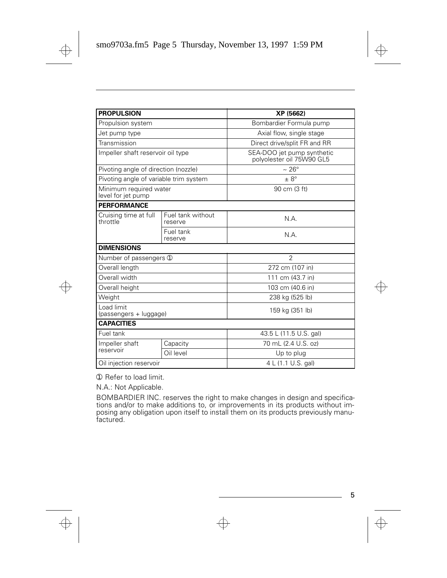| <b>PROPULSION</b>                            |                              | XP (5662)                                               |
|----------------------------------------------|------------------------------|---------------------------------------------------------|
| Propulsion system                            |                              | Bombardier Formula pump                                 |
| Jet pump type                                |                              | Axial flow, single stage                                |
| Transmission                                 |                              | Direct drive/split FR and RR                            |
| Impeller shaft reservoir oil type            |                              | SEA-DOO jet pump synthetic<br>polyolester oil 75W90 GL5 |
| Pivoting angle of direction (nozzle)         |                              | $\sim 26^{\circ}$                                       |
| Pivoting angle of variable trim system       |                              | $\pm 8^{\circ}$                                         |
| Minimum required water<br>level for jet pump |                              | 90 cm (3 ft)                                            |
| <b>PERFORMANCE</b>                           |                              |                                                         |
| Cruising time at full<br>throttle            | Fuel tank without<br>reserve | N.A.                                                    |
|                                              | Fuel tank<br>reserve         | N.A.                                                    |
| <b>DIMENSIONS</b>                            |                              |                                                         |
| Number of passengers 1                       |                              | $\overline{2}$                                          |
| Overall length                               |                              | 272 cm (107 in)                                         |
| Overall width                                |                              | 111 cm (43.7 in)                                        |
| Overall height                               |                              | 103 cm (40.6 in)                                        |
| Weight                                       |                              | 238 kg (525 lb)                                         |
| Load limit<br>(passengers + luggage)         |                              | 159 kg (351 lb)                                         |
| <b>CAPACITIES</b>                            |                              |                                                         |
| Fuel tank                                    |                              | 43.5 L (11.5 U.S. gal)                                  |
| Impeller shaft<br>reservoir                  | Capacity                     | 70 mL (2.4 U.S. oz)                                     |
|                                              | Oil level                    | Up to plug                                              |
| Oil injection reservoir                      |                              | 4 L (1.1 U.S. gal)                                      |

➀ Refer to load limit.

N.A.: Not Applicable.

BOMBARDIER INC. reserves the right to make changes in design and specifications and/or to make additions to, or improvements in its products without imposing any obligation upon itself to install them on its products previously manufactured.